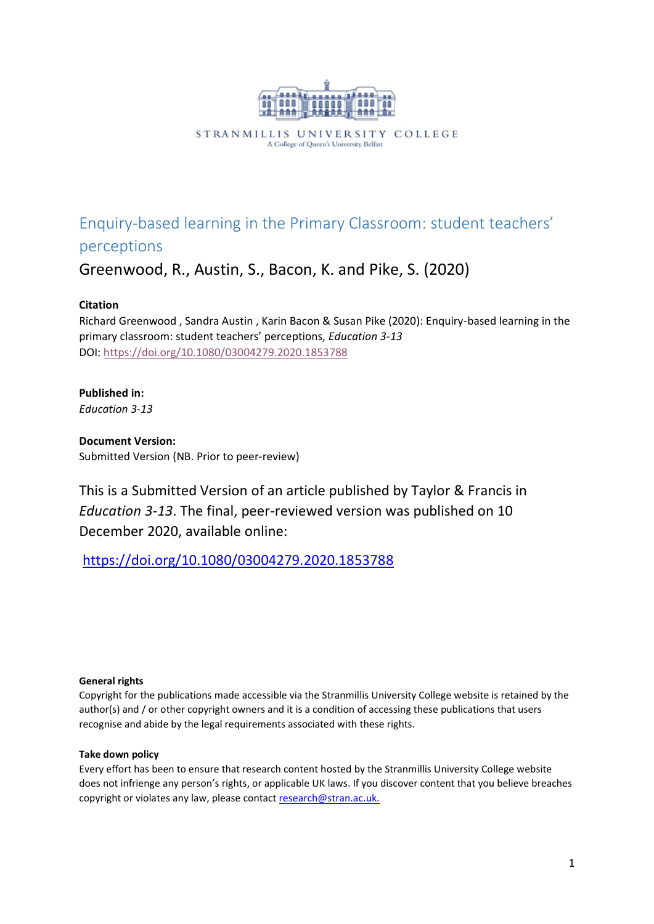

STRANMILLIS UNIVERSITY COLLEGE A College of Queen's University Belfast

# Enquiry-based learning in the Primary Classroom: student teachers' perceptions

# Greenwood, R., Austin, S., Bacon, K. and Pike, S. (2020)

### **Citation**

Richard Greenwood , Sandra Austin , Karin Bacon & Susan Pike (2020): Enquiry-based learning in the primary classroom: student teachers' perceptions, *Education 3-13* DOI: <https://doi.org/10.1080/03004279.2020.1853788>

# **Published in:**

*Education 3-13*

**Document Version:** Submitted Version (NB. Prior to peer-review)

This is a Submitted Version of an article published by Taylor & Francis in *Education 3-13*. The final, peer-reviewed version was published on 10 December 2020, available online:

<https://doi.org/10.1080/03004279.2020.1853788>

### **General rights**

Copyright for the publications made accessible via the Stranmillis University College website is retained by the author(s) and / or other copyright owners and it is a condition of accessing these publications that users recognise and abide by the legal requirements associated with these rights.

### **Take down policy**

Every effort has been to ensure that research content hosted by the Stranmillis University College website does not infrienge any person's rights, or applicable UK laws. If you discover content that you believe breaches copyright or violates any law, please contact research@stran.ac.uk.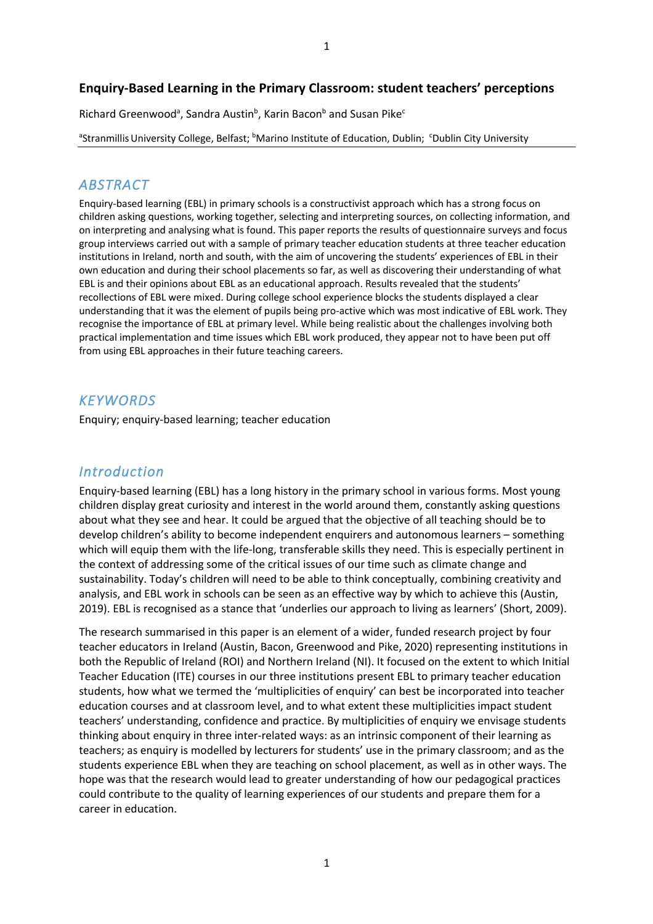Richard Greenwood<sup>a</sup>, Sandra Austin<sup>b</sup>, Karin Bacon<sup>b</sup> and Susan Pike<sup>c</sup>

aStranmillis University College, Belfast; <sup>b</sup>Marino Institute of Education, Dublin; *CDublin City University* 

# *ABSTRACT*

Enquiry-based learning (EBL) in primary schools is a constructivist approach which has a strong focus on children asking questions, working together, selecting and interpreting sources, on collecting information, and on interpreting and analysing what is found. This paper reports the results of questionnaire surveys and focus group interviews carried out with a sample of primary teacher education students at three teacher education institutions in Ireland, north and south, with the aim of uncovering the students' experiences of EBL in their own education and during their school placements so far, as well as discovering their understanding of what EBL is and their opinions about EBL as an educational approach. Results revealed that the students' recollections of EBL were mixed. During college school experience blocks the students displayed a clear understanding that it was the element of pupils being pro-active which was most indicative of EBL work. They recognise the importance of EBL at primary level. While being realistic about the challenges involving both practical implementation and time issues which EBL work produced, they appear not to have been put off from using EBL approaches in their future teaching careers.

## *KEYWORDS*

Enquiry; enquiry-based learning; teacher education

## *Introduction*

Enquiry-based learning (EBL) has a long history in the primary school in various forms. Most young children display great curiosity and interest in the world around them, constantly asking questions about what they see and hear. It could be argued that the objective of all teaching should be to develop children's ability to become independent enquirers and autonomous learners – something which will equip them with the life-long, transferable skills they need. This is especially pertinent in the context of addressing some of the critical issues of our time such as climate change and sustainability. Today's children will need to be able to think conceptually, combining creativity and analysis, and EBL work in schools can be seen as an effective way by which to achieve this (Austin, 2019). EBL is recognised as a stance that 'underlies our approach to living as learners' (Short, 2009).

The research summarised in this paper is an element of a wider, funded research project by four teacher educators in Ireland (Austin, Bacon, Greenwood and Pike, 2020) representing institutions in both the Republic of Ireland (ROI) and Northern Ireland (NI). It focused on the extent to which Initial Teacher Education (ITE) courses in our three institutions present EBL to primary teacher education students, how what we termed the 'multiplicities of enquiry' can best be incorporated into teacher education courses and at classroom level, and to what extent these multiplicities impact student teachers' understanding, confidence and practice. By multiplicities of enquiry we envisage students thinking about enquiry in three inter-related ways: as an intrinsic component of their learning as teachers; as enquiry is modelled by lecturers for students' use in the primary classroom; and as the students experience EBL when they are teaching on school placement, as well as in other ways. The hope was that the research would lead to greater understanding of how our pedagogical practices could contribute to the quality of learning experiences of our students and prepare them for a career in education.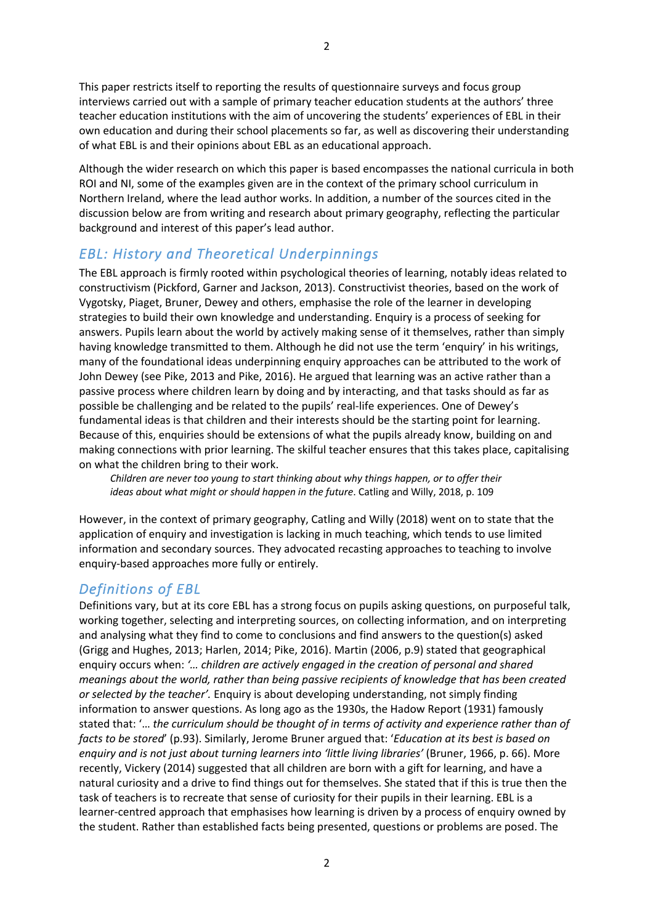This paper restricts itself to reporting the results of questionnaire surveys and focus group interviews carried out with a sample of primary teacher education students at the authors' three teacher education institutions with the aim of uncovering the students' experiences of EBL in their own education and during their school placements so far, as well as discovering their understanding of what EBL is and their opinions about EBL as an educational approach.

Although the wider research on which this paper is based encompasses the national curricula in both ROI and NI, some of the examples given are in the context of the primary school curriculum in Northern Ireland, where the lead author works. In addition, a number of the sources cited in the discussion below are from writing and research about primary geography, reflecting the particular background and interest of this paper's lead author.

## *EBL: History and Theoretical Underpinnings*

The EBL approach is firmly rooted within psychological theories of learning, notably ideas related to constructivism (Pickford, Garner and Jackson, 2013). Constructivist theories, based on the work of Vygotsky, Piaget, Bruner, Dewey and others, emphasise the role of the learner in developing strategies to build their own knowledge and understanding. Enquiry is a process of seeking for answers. Pupils learn about the world by actively making sense of it themselves, rather than simply having knowledge transmitted to them. Although he did not use the term 'enquiry' in his writings, many of the foundational ideas underpinning enquiry approaches can be attributed to the work of John Dewey (see Pike, 2013 and Pike, 2016). He argued that learning was an active rather than a passive process where children learn by doing and by interacting, and that tasks should as far as possible be challenging and be related to the pupils' real-life experiences. One of Dewey's fundamental ideas is that children and their interests should be the starting point for learning. Because of this, enquiries should be extensions of what the pupils already know, building on and making connections with prior learning. The skilful teacher ensures that this takes place, capitalising on what the children bring to their work.

*Children are never too young to start thinking about why things happen, or to offer their ideas about what might or should happen in the future*. Catling and Willy, 2018, p. 109

However, in the context of primary geography, Catling and Willy (2018) went on to state that the application of enquiry and investigation is lacking in much teaching, which tends to use limited information and secondary sources. They advocated recasting approaches to teaching to involve enquiry-based approaches more fully or entirely.

### *Definitions of EBL*

Definitions vary, but at its core EBL has a strong focus on pupils asking questions, on purposeful talk, working together, selecting and interpreting sources, on collecting information, and on interpreting and analysing what they find to come to conclusions and find answers to the question(s) asked (Grigg and Hughes, 2013; Harlen, 2014; Pike, 2016). Martin (2006, p.9) stated that geographical enquiry occurs when: *'… children are actively engaged in the creation of personal and shared meanings about the world, rather than being passive recipients of knowledge that has been created or selected by the teacher'.* Enquiry is about developing understanding, not simply finding information to answer questions. As long ago as the 1930s, the Hadow Report (1931) famously stated that: '… *the curriculum should be thought of in terms of activity and experience rather than of facts to be stored*' (p.93). Similarly, Jerome Bruner argued that: '*Education at its best is based on enquiry and is not just about turning learners into 'little living libraries'* (Bruner, 1966, p. 66). More recently, Vickery (2014) suggested that all children are born with a gift for learning, and have a natural curiosity and a drive to find things out for themselves. She stated that if this is true then the task of teachers is to recreate that sense of curiosity for their pupils in their learning. EBL is a learner-centred approach that emphasises how learning is driven by a process of enquiry owned by the student. Rather than established facts being presented, questions or problems are posed. The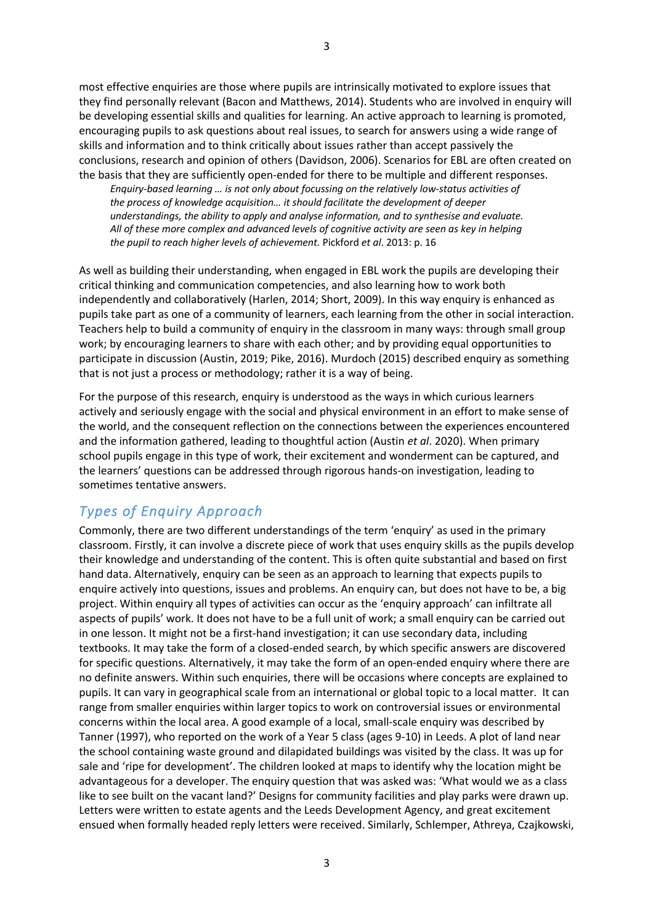most effective enquiries are those where pupils are intrinsically motivated to explore issues that they find personally relevant (Bacon and Matthews, 2014). Students who are involved in enquiry will be developing essential skills and qualities for learning. An active approach to learning is promoted, encouraging pupils to ask questions about real issues, to search for answers using a wide range of skills and information and to think critically about issues rather than accept passively the conclusions, research and opinion of others (Davidson, 2006). Scenarios for EBL are often created on the basis that they are sufficiently open-ended for there to be multiple and different responses.

*Enquiry-based learning … is not only about focussing on the relatively low-status activities of the process of knowledge acquisition… it should facilitate the development of deeper understandings, the ability to apply and analyse information, and to synthesise and evaluate. All of these more complex and advanced levels of cognitive activity are seen as key in helping the pupil to reach higher levels of achievement.* Pickford *et al*. 2013: p. 16

As well as building their understanding, when engaged in EBL work the pupils are developing their critical thinking and communication competencies, and also learning how to work both independently and collaboratively (Harlen, 2014; Short, 2009). In this way enquiry is enhanced as pupils take part as one of a community of learners, each learning from the other in social interaction. Teachers help to build a community of enquiry in the classroom in many ways: through small group work; by encouraging learners to share with each other; and by providing equal opportunities to participate in discussion (Austin, 2019; Pike, 2016). Murdoch (2015) described enquiry as something that is not just a process or methodology; rather it is a way of being.

For the purpose of this research, enquiry is understood as the ways in which curious learners actively and seriously engage with the social and physical environment in an effort to make sense of the world, and the consequent reflection on the connections between the experiences encountered and the information gathered, leading to thoughtful action (Austin *et al*. 2020). When primary school pupils engage in this type of work, their excitement and wonderment can be captured, and the learners' questions can be addressed through rigorous hands-on investigation, leading to sometimes tentative answers.

## *Types of Enquiry Approach*

Commonly, there are two different understandings of the term 'enquiry' as used in the primary classroom. Firstly, it can involve a discrete piece of work that uses enquiry skills as the pupils develop their knowledge and understanding of the content. This is often quite substantial and based on first hand data. Alternatively, enquiry can be seen as an approach to learning that expects pupils to enquire actively into questions, issues and problems. An enquiry can, but does not have to be, a big project. Within enquiry all types of activities can occur as the 'enquiry approach' can infiltrate all aspects of pupils' work. It does not have to be a full unit of work; a small enquiry can be carried out in one lesson. It might not be a first-hand investigation; it can use secondary data, including textbooks. It may take the form of a closed-ended search, by which specific answers are discovered for specific questions. Alternatively, it may take the form of an open-ended enquiry where there are no definite answers. Within such enquiries, there will be occasions where concepts are explained to pupils. It can vary in geographical scale from an international or global topic to a local matter. It can range from smaller enquiries within larger topics to work on controversial issues or environmental concerns within the local area. A good example of a local, small-scale enquiry was described by Tanner (1997), who reported on the work of a Year 5 class (ages 9-10) in Leeds. A plot of land near the school containing waste ground and dilapidated buildings was visited by the class. It was up for sale and 'ripe for development'. The children looked at maps to identify why the location might be advantageous for a developer. The enquiry question that was asked was: 'What would we as a class like to see built on the vacant land?' Designs for community facilities and play parks were drawn up. Letters were written to estate agents and the Leeds Development Agency, and great excitement ensued when formally headed reply letters were received. Similarly, Schlemper, Athreya, Czajkowski,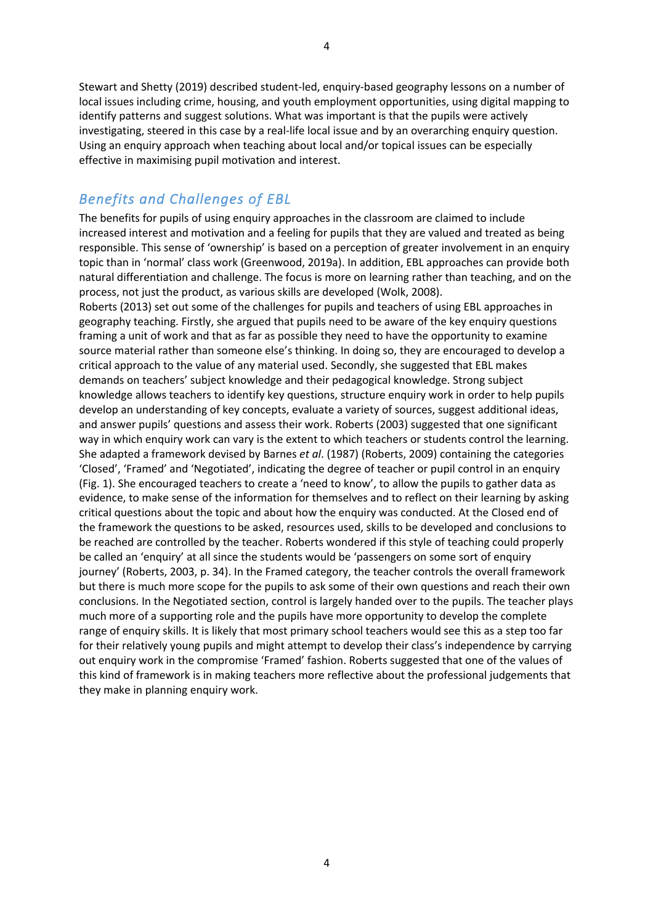Stewart and Shetty (2019) described student-led, enquiry-based geography lessons on a number of local issues including crime, housing, and youth employment opportunities, using digital mapping to identify patterns and suggest solutions. What was important is that the pupils were actively investigating, steered in this case by a real-life local issue and by an overarching enquiry question. Using an enquiry approach when teaching about local and/or topical issues can be especially effective in maximising pupil motivation and interest.

# *Benefits and Challenges of EBL*

The benefits for pupils of using enquiry approaches in the classroom are claimed to include increased interest and motivation and a feeling for pupils that they are valued and treated as being responsible. This sense of 'ownership' is based on a perception of greater involvement in an enquiry topic than in 'normal' class work (Greenwood, 2019a). In addition, EBL approaches can provide both natural differentiation and challenge. The focus is more on learning rather than teaching, and on the process, not just the product, as various skills are developed (Wolk, 2008).

Roberts (2013) set out some of the challenges for pupils and teachers of using EBL approaches in geography teaching. Firstly, she argued that pupils need to be aware of the key enquiry questions framing a unit of work and that as far as possible they need to have the opportunity to examine source material rather than someone else's thinking. In doing so, they are encouraged to develop a critical approach to the value of any material used. Secondly, she suggested that EBL makes demands on teachers' subject knowledge and their pedagogical knowledge. Strong subject knowledge allows teachers to identify key questions, structure enquiry work in order to help pupils develop an understanding of key concepts, evaluate a variety of sources, suggest additional ideas, and answer pupils' questions and assess their work. Roberts (2003) suggested that one significant way in which enquiry work can vary is the extent to which teachers or students control the learning. She adapted a framework devised by Barnes *et al*. (1987) (Roberts, 2009) containing the categories 'Closed', 'Framed' and 'Negotiated', indicating the degree of teacher or pupil control in an enquiry (Fig. 1). She encouraged teachers to create a 'need to know', to allow the pupils to gather data as evidence, to make sense of the information for themselves and to reflect on their learning by asking critical questions about the topic and about how the enquiry was conducted. At the Closed end of the framework the questions to be asked, resources used, skills to be developed and conclusions to be reached are controlled by the teacher. Roberts wondered if this style of teaching could properly be called an 'enquiry' at all since the students would be 'passengers on some sort of enquiry journey' (Roberts, 2003, p. 34). In the Framed category, the teacher controls the overall framework but there is much more scope for the pupils to ask some of their own questions and reach their own conclusions. In the Negotiated section, control is largely handed over to the pupils. The teacher plays much more of a supporting role and the pupils have more opportunity to develop the complete range of enquiry skills. It is likely that most primary school teachers would see this as a step too far for their relatively young pupils and might attempt to develop their class's independence by carrying out enquiry work in the compromise 'Framed' fashion. Roberts suggested that one of the values of this kind of framework is in making teachers more reflective about the professional judgements that they make in planning enquiry work.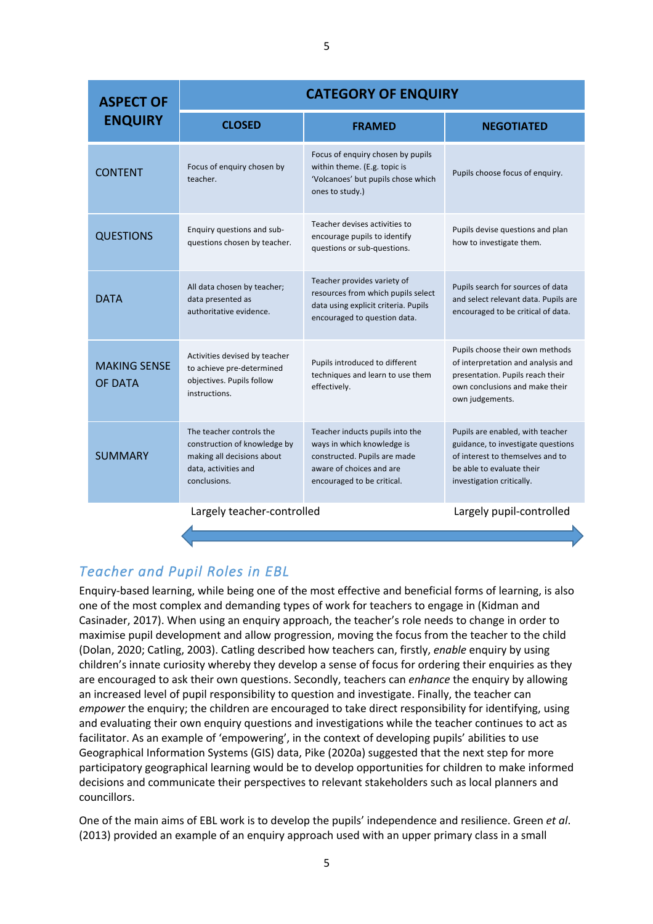| <b>ASPECT OF</b><br><b>ENQUIRY</b>    | <b>CATEGORY OF ENQUIRY</b>                                                                                                     |                                                                                                                                                         |                                                                                                                                                                      |
|---------------------------------------|--------------------------------------------------------------------------------------------------------------------------------|---------------------------------------------------------------------------------------------------------------------------------------------------------|----------------------------------------------------------------------------------------------------------------------------------------------------------------------|
|                                       | <b>CLOSED</b>                                                                                                                  | <b>FRAMED</b>                                                                                                                                           | <b>NEGOTIATED</b>                                                                                                                                                    |
| <b>CONTENT</b>                        | Focus of enquiry chosen by<br>teacher.                                                                                         | Focus of enquiry chosen by pupils<br>within theme. (E.g. topic is<br>'Volcanoes' but pupils chose which<br>ones to study.)                              | Pupils choose focus of enquiry.                                                                                                                                      |
| <b>QUESTIONS</b>                      | Enquiry questions and sub-<br>questions chosen by teacher.                                                                     | Teacher devises activities to<br>encourage pupils to identify<br>questions or sub-questions.                                                            | Pupils devise questions and plan<br>how to investigate them.                                                                                                         |
| <b>DATA</b>                           | All data chosen by teacher;<br>data presented as<br>authoritative evidence.                                                    | Teacher provides variety of<br>resources from which pupils select<br>data using explicit criteria. Pupils<br>encouraged to question data.               | Pupils search for sources of data<br>and select relevant data. Pupils are<br>encouraged to be critical of data.                                                      |
| <b>MAKING SENSE</b><br><b>OF DATA</b> | Activities devised by teacher<br>to achieve pre-determined<br>objectives. Pupils follow<br>instructions.                       | Pupils introduced to different<br>techniques and learn to use them<br>effectively.                                                                      | Pupils choose their own methods<br>of interpretation and analysis and<br>presentation. Pupils reach their<br>own conclusions and make their<br>own judgements.       |
| <b>SUMMARY</b>                        | The teacher controls the<br>construction of knowledge by<br>making all decisions about<br>data, activities and<br>conclusions. | Teacher inducts pupils into the<br>ways in which knowledge is<br>constructed. Pupils are made<br>aware of choices and are<br>encouraged to be critical. | Pupils are enabled, with teacher<br>guidance, to investigate questions<br>of interest to themselves and to<br>be able to evaluate their<br>investigation critically. |
| Largely teacher-controlled            |                                                                                                                                |                                                                                                                                                         | Largely pupil-controlled                                                                                                                                             |

# *Teacher and Pupil Roles in EBL*

Enquiry-based learning, while being one of the most effective and beneficial forms of learning, is also one of the most complex and demanding types of work for teachers to engage in (Kidman and Casinader, 2017). When using an enquiry approach, the teacher's role needs to change in order to maximise pupil development and allow progression, moving the focus from the teacher to the child (Dolan, 2020; Catling, 2003). Catling described how teachers can, firstly, *enable* enquiry by using children's innate curiosity whereby they develop a sense of focus for ordering their enquiries as they are encouraged to ask their own questions. Secondly, teachers can *enhance* the enquiry by allowing an increased level of pupil responsibility to question and investigate. Finally, the teacher can *empower* the enquiry; the children are encouraged to take direct responsibility for identifying, using and evaluating their own enquiry questions and investigations while the teacher continues to act as facilitator. As an example of 'empowering', in the context of developing pupils' abilities to use Geographical Information Systems (GIS) data, Pike (2020a) suggested that the next step for more participatory geographical learning would be to develop opportunities for children to make informed decisions and communicate their perspectives to relevant stakeholders such as local planners and councillors.

Largely teacher-controlled

One of the main aims of EBL work is to develop the pupils' independence and resilience. Green *et al*. (2013) provided an example of an enquiry approach used with an upper primary class in a small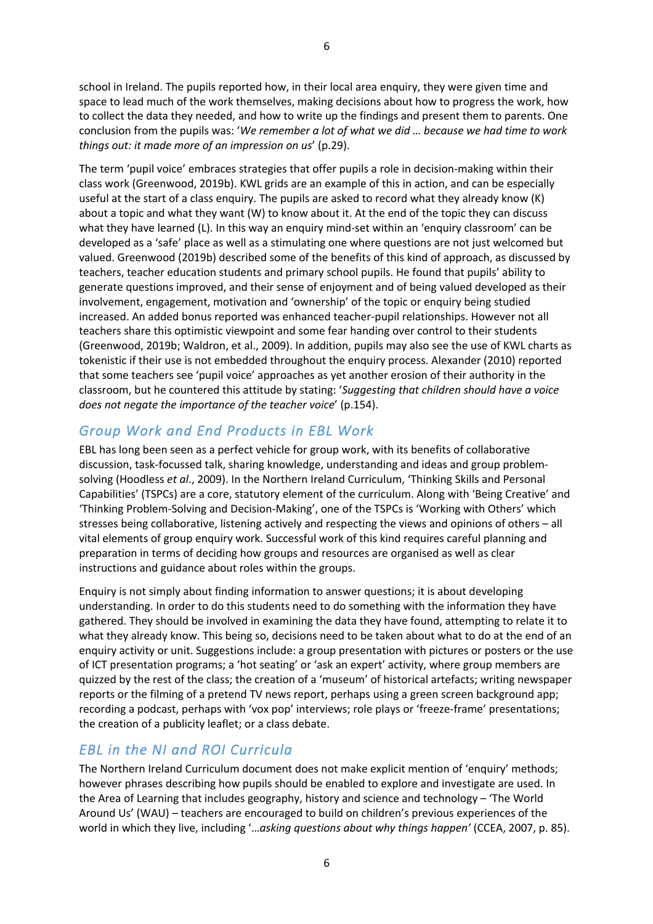school in Ireland. The pupils reported how, in their local area enquiry, they were given time and space to lead much of the work themselves, making decisions about how to progress the work, how to collect the data they needed, and how to write up the findings and present them to parents. One conclusion from the pupils was: '*We remember a lot of what we did … because we had time to work things out: it made more of an impression on us*' (p.29).

The term 'pupil voice' embraces strategies that offer pupils a role in decision-making within their class work (Greenwood, 2019b). KWL grids are an example of this in action, and can be especially useful at the start of a class enquiry. The pupils are asked to record what they already know (K) about a topic and what they want (W) to know about it. At the end of the topic they can discuss what they have learned (L). In this way an enquiry mind-set within an 'enquiry classroom' can be developed as a 'safe' place as well as a stimulating one where questions are not just welcomed but valued. Greenwood (2019b) described some of the benefits of this kind of approach, as discussed by teachers, teacher education students and primary school pupils. He found that pupils' ability to generate questions improved, and their sense of enjoyment and of being valued developed as their involvement, engagement, motivation and 'ownership' of the topic or enquiry being studied increased. An added bonus reported was enhanced teacher-pupil relationships. However not all teachers share this optimistic viewpoint and some fear handing over control to their students (Greenwood, 2019b; Waldron, et al., 2009). In addition, pupils may also see the use of KWL charts as tokenistic if their use is not embedded throughout the enquiry process. Alexander (2010) reported that some teachers see 'pupil voice' approaches as yet another erosion of their authority in the classroom, but he countered this attitude by stating: '*Suggesting that children should have a voice does not negate the importance of the teacher voice*' (p.154).

# *Group Work and End Products in EBL Work*

EBL has long been seen as a perfect vehicle for group work, with its benefits of collaborative discussion, task-focussed talk, sharing knowledge, understanding and ideas and group problemsolving (Hoodless *et al*., 2009). In the Northern Ireland Curriculum, 'Thinking Skills and Personal Capabilities' (TSPCs) are a core, statutory element of the curriculum. Along with 'Being Creative' and 'Thinking Problem-Solving and Decision-Making', one of the TSPCs is 'Working with Others' which stresses being collaborative, listening actively and respecting the views and opinions of others – all vital elements of group enquiry work. Successful work of this kind requires careful planning and preparation in terms of deciding how groups and resources are organised as well as clear instructions and guidance about roles within the groups.

Enquiry is not simply about finding information to answer questions; it is about developing understanding. In order to do this students need to do something with the information they have gathered. They should be involved in examining the data they have found, attempting to relate it to what they already know. This being so, decisions need to be taken about what to do at the end of an enquiry activity or unit. Suggestions include: a group presentation with pictures or posters or the use of ICT presentation programs; a 'hot seating' or 'ask an expert' activity, where group members are quizzed by the rest of the class; the creation of a 'museum' of historical artefacts; writing newspaper reports or the filming of a pretend TV news report, perhaps using a green screen background app; recording a podcast, perhaps with 'vox pop' interviews; role plays or 'freeze-frame' presentations; the creation of a publicity leaflet; or a class debate.

## *EBL in the NI and ROI Curricula*

The Northern Ireland Curriculum document does not make explicit mention of 'enquiry' methods; however phrases describing how pupils should be enabled to explore and investigate are used. In the Area of Learning that includes geography, history and science and technology – 'The World Around Us' (WAU) – teachers are encouraged to build on children's previous experiences of the world in which they live, including '…*asking questions about why things happen'* (CCEA, 2007, p. 85).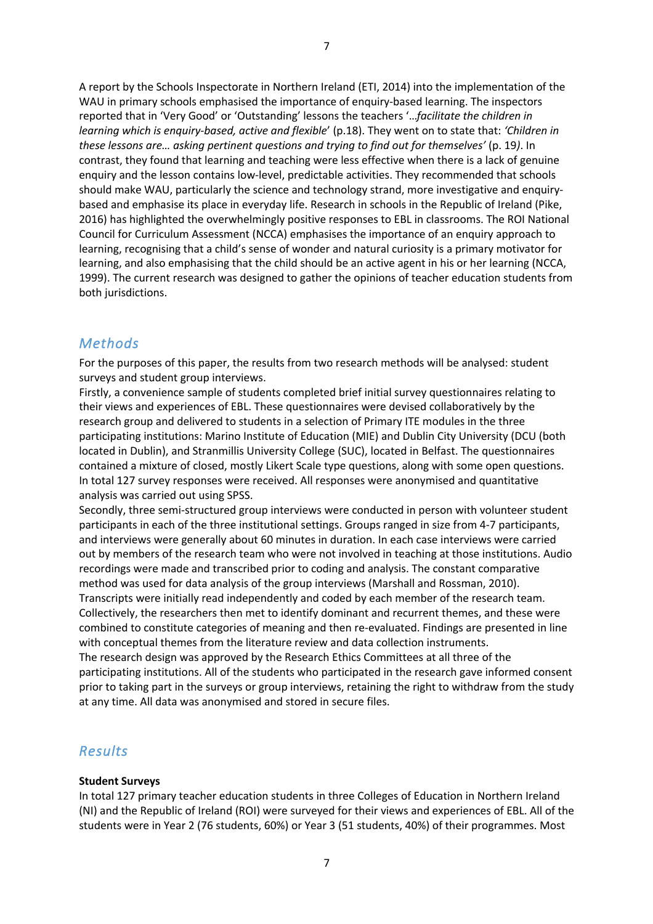A report by the Schools Inspectorate in Northern Ireland (ETI, 2014) into the implementation of the WAU in primary schools emphasised the importance of enquiry-based learning. The inspectors reported that in 'Very Good' or 'Outstanding' lessons the teachers '…*facilitate the children in learning which is enquiry-based, active and flexible*' (p.18). They went on to state that: *'Children in these lessons are… asking pertinent questions and trying to find out for themselves'* (p. 19*)*. In contrast, they found that learning and teaching were less effective when there is a lack of genuine enquiry and the lesson contains low-level, predictable activities. They recommended that schools should make WAU, particularly the science and technology strand, more investigative and enquirybased and emphasise its place in everyday life. Research in schools in the Republic of Ireland (Pike, 2016) has highlighted the overwhelmingly positive responses to EBL in classrooms. The ROI National Council for Curriculum Assessment (NCCA) emphasises the importance of an enquiry approach to learning, recognising that a child's sense of wonder and natural curiosity is a primary motivator for learning, and also emphasising that the child should be an active agent in his or her learning (NCCA, 1999). The current research was designed to gather the opinions of teacher education students from both jurisdictions.

# *Methods*

For the purposes of this paper, the results from two research methods will be analysed: student surveys and student group interviews.

Firstly, a convenience sample of students completed brief initial survey questionnaires relating to their views and experiences of EBL. These questionnaires were devised collaboratively by the research group and delivered to students in a selection of Primary ITE modules in the three participating institutions: Marino Institute of Education (MIE) and Dublin City University (DCU (both located in Dublin), and Stranmillis University College (SUC), located in Belfast. The questionnaires contained a mixture of closed, mostly Likert Scale type questions, along with some open questions. In total 127 survey responses were received. All responses were anonymised and quantitative analysis was carried out using SPSS.

Secondly, three semi-structured group interviews were conducted in person with volunteer student participants in each of the three institutional settings. Groups ranged in size from 4-7 participants, and interviews were generally about 60 minutes in duration. In each case interviews were carried out by members of the research team who were not involved in teaching at those institutions. Audio recordings were made and transcribed prior to coding and analysis. The constant comparative method was used for data analysis of the group interviews (Marshall and Rossman, 2010). Transcripts were initially read independently and coded by each member of the research team. Collectively, the researchers then met to identify dominant and recurrent themes, and these were combined to constitute categories of meaning and then re-evaluated. Findings are presented in line with conceptual themes from the literature review and data collection instruments.

The research design was approved by the Research Ethics Committees at all three of the participating institutions. All of the students who participated in the research gave informed consent prior to taking part in the surveys or group interviews, retaining the right to withdraw from the study at any time. All data was anonymised and stored in secure files.

## *Results*

### **Student Surveys**

In total 127 primary teacher education students in three Colleges of Education in Northern Ireland (NI) and the Republic of Ireland (ROI) were surveyed for their views and experiences of EBL. All of the students were in Year 2 (76 students, 60%) or Year 3 (51 students, 40%) of their programmes. Most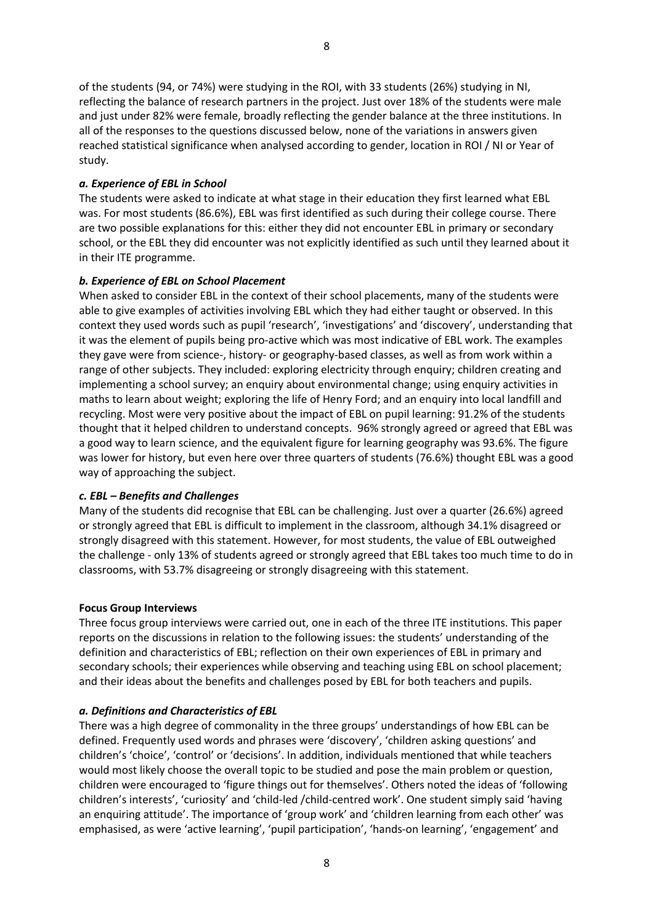of the students (94, or 74%) were studying in the ROI, with 33 students (26%) studying in NI, reflecting the balance of research partners in the project. Just over 18% of the students were male and just under 82% were female, broadly reflecting the gender balance at the three institutions. In all of the responses to the questions discussed below, none of the variations in answers given reached statistical significance when analysed according to gender, location in ROI / NI or Year of study.

### *a. Experience of EBL in School*

The students were asked to indicate at what stage in their education they first learned what EBL was. For most students (86.6%), EBL was first identified as such during their college course. There are two possible explanations for this: either they did not encounter EBL in primary or secondary school, or the EBL they did encounter was not explicitly identified as such until they learned about it in their ITE programme.

### *b. Experience of EBL on School Placement*

When asked to consider EBL in the context of their school placements, many of the students were able to give examples of activities involving EBL which they had either taught or observed. In this context they used words such as pupil 'research', 'investigations' and 'discovery', understanding that it was the element of pupils being pro-active which was most indicative of EBL work. The examples they gave were from science-, history- or geography-based classes, as well as from work within a range of other subjects. They included: exploring electricity through enquiry; children creating and implementing a school survey; an enquiry about environmental change; using enquiry activities in maths to learn about weight; exploring the life of Henry Ford; and an enquiry into local landfill and recycling. Most were very positive about the impact of EBL on pupil learning: 91.2% of the students thought that it helped children to understand concepts. 96% strongly agreed or agreed that EBL was a good way to learn science, and the equivalent figure for learning geography was 93.6%. The figure was lower for history, but even here over three quarters of students (76.6%) thought EBL was a good way of approaching the subject.

#### *c. EBL – Benefits and Challenges*

Many of the students did recognise that EBL can be challenging. Just over a quarter (26.6%) agreed or strongly agreed that EBL is difficult to implement in the classroom, although 34.1% disagreed or strongly disagreed with this statement. However, for most students, the value of EBL outweighed the challenge - only 13% of students agreed or strongly agreed that EBL takes too much time to do in classrooms, with 53.7% disagreeing or strongly disagreeing with this statement.

#### **Focus Group Interviews**

Three focus group interviews were carried out, one in each of the three ITE institutions. This paper reports on the discussions in relation to the following issues: the students' understanding of the definition and characteristics of EBL; reflection on their own experiences of EBL in primary and secondary schools; their experiences while observing and teaching using EBL on school placement; and their ideas about the benefits and challenges posed by EBL for both teachers and pupils.

#### *a. Definitions and Characteristics of EBL*

There was a high degree of commonality in the three groups' understandings of how EBL can be defined. Frequently used words and phrases were 'discovery', 'children asking questions' and children's 'choice', 'control' or 'decisions'. In addition, individuals mentioned that while teachers would most likely choose the overall topic to be studied and pose the main problem or question, children were encouraged to 'figure things out for themselves'. Others noted the ideas of 'following children's interests', 'curiosity' and 'child-led /child-centred work'. One student simply said 'having an enquiring attitude'. The importance of 'group work' and 'children learning from each other' was emphasised, as were 'active learning', 'pupil participation', 'hands-on learning', 'engagement' and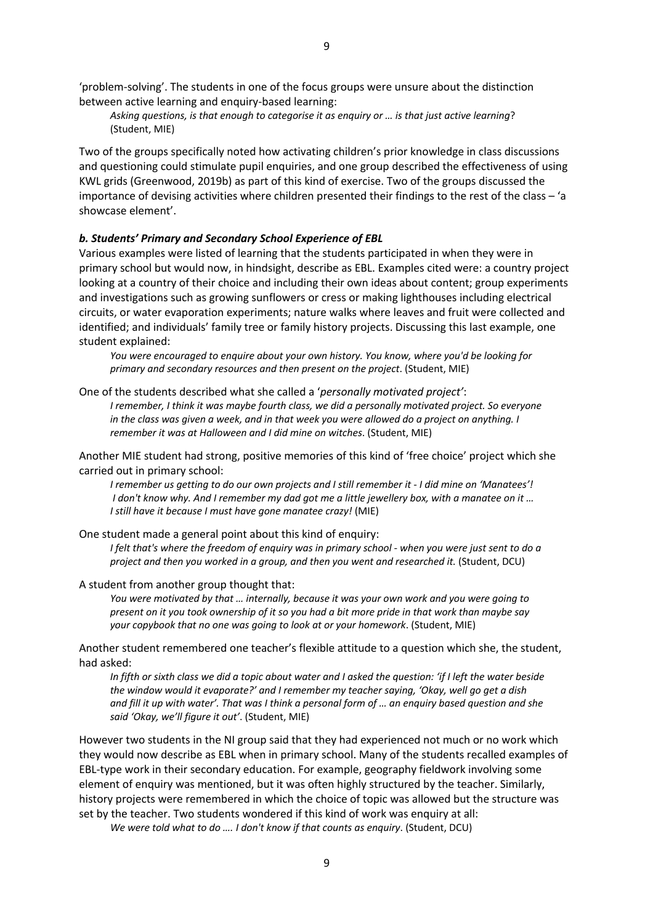'problem-solving'. The students in one of the focus groups were unsure about the distinction between active learning and enquiry-based learning:

*Asking questions, is that enough to categorise it as enquiry or … is that just active learning*? (Student, MIE)

Two of the groups specifically noted how activating children's prior knowledge in class discussions and questioning could stimulate pupil enquiries, and one group described the effectiveness of using KWL grids (Greenwood, 2019b) as part of this kind of exercise. Two of the groups discussed the importance of devising activities where children presented their findings to the rest of the class – 'a showcase element'.

#### *b. Students' Primary and Secondary School Experience of EBL*

Various examples were listed of learning that the students participated in when they were in primary school but would now, in hindsight, describe as EBL. Examples cited were: a country project looking at a country of their choice and including their own ideas about content; group experiments and investigations such as growing sunflowers or cress or making lighthouses including electrical circuits, or water evaporation experiments; nature walks where leaves and fruit were collected and identified; and individuals' family tree or family history projects. Discussing this last example, one student explained:

*You were encouraged to enquire about your own history. You know, where you'd be looking for primary and secondary resources and then present on the project*. (Student, MIE)

#### One of the students described what she called a '*personally motivated project'*:

*I remember, I think it was maybe fourth class, we did a personally motivated project. So everyone in the class was given a week, and in that week you were allowed do a project on anything. I remember it was at Halloween and I did mine on witches*. (Student, MIE)

Another MIE student had strong, positive memories of this kind of 'free choice' project which she carried out in primary school:

*I remember us getting to do our own projects and I still remember it - I did mine on 'Manatees'! I don't know why. And I remember my dad got me a little jewellery box, with a manatee on it … I still have it because I must have gone manatee crazy!* (MIE)

One student made a general point about this kind of enquiry:

*I felt that's where the freedom of enquiry was in primary school - when you were just sent to do a project and then you worked in a group, and then you went and researched it.* (Student, DCU)

#### A student from another group thought that:

*You were motivated by that … internally, because it was your own work and you were going to present on it you took ownership of it so you had a bit more pride in that work than maybe say your copybook that no one was going to look at or your homework*. (Student, MIE)

Another student remembered one teacher's flexible attitude to a question which she, the student, had asked:

*In fifth or sixth class we did a topic about water and I asked the question: 'if I left the water beside the window would it evaporate?' and I remember my teacher saying, 'Okay, well go get a dish and fill it up with water'. That was I think a personal form of … an enquiry based question and she said 'Okay, we'll figure it out'*. (Student, MIE)

However two students in the NI group said that they had experienced not much or no work which they would now describe as EBL when in primary school. Many of the students recalled examples of EBL-type work in their secondary education. For example, geography fieldwork involving some element of enquiry was mentioned, but it was often highly structured by the teacher. Similarly, history projects were remembered in which the choice of topic was allowed but the structure was set by the teacher. Two students wondered if this kind of work was enquiry at all:

*We were told what to do …. I don't know if that counts as enquiry*. (Student, DCU)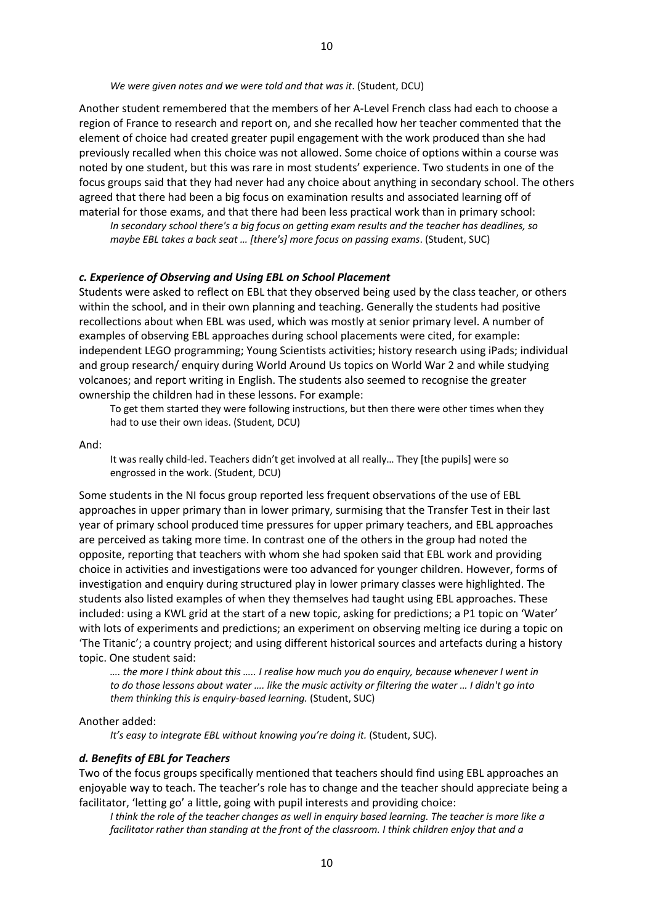*We were given notes and we were told and that was it*. (Student, DCU)

Another student remembered that the members of her A-Level French class had each to choose a region of France to research and report on, and she recalled how her teacher commented that the element of choice had created greater pupil engagement with the work produced than she had previously recalled when this choice was not allowed. Some choice of options within a course was noted by one student, but this was rare in most students' experience. Two students in one of the focus groups said that they had never had any choice about anything in secondary school. The others agreed that there had been a big focus on examination results and associated learning off of material for those exams, and that there had been less practical work than in primary school:

*In secondary school there's a big focus on getting exam results and the teacher has deadlines, so maybe EBL takes a back seat … [there's] more focus on passing exams*. (Student, SUC)

#### *c. Experience of Observing and Using EBL on School Placement*

Students were asked to reflect on EBL that they observed being used by the class teacher, or others within the school, and in their own planning and teaching. Generally the students had positive recollections about when EBL was used, which was mostly at senior primary level. A number of examples of observing EBL approaches during school placements were cited, for example: independent LEGO programming; Young Scientists activities; history research using iPads; individual and group research/ enquiry during World Around Us topics on World War 2 and while studying volcanoes; and report writing in English. The students also seemed to recognise the greater ownership the children had in these lessons. For example:

To get them started they were following instructions, but then there were other times when they had to use their own ideas. (Student, DCU)

And:

It was really child-led. Teachers didn't get involved at all really… They [the pupils] were so engrossed in the work. (Student, DCU)

Some students in the NI focus group reported less frequent observations of the use of EBL approaches in upper primary than in lower primary, surmising that the Transfer Test in their last year of primary school produced time pressures for upper primary teachers, and EBL approaches are perceived as taking more time. In contrast one of the others in the group had noted the opposite, reporting that teachers with whom she had spoken said that EBL work and providing choice in activities and investigations were too advanced for younger children. However, forms of investigation and enquiry during structured play in lower primary classes were highlighted. The students also listed examples of when they themselves had taught using EBL approaches. These included: using a KWL grid at the start of a new topic, asking for predictions; a P1 topic on 'Water' with lots of experiments and predictions; an experiment on observing melting ice during a topic on 'The Titanic'; a country project; and using different historical sources and artefacts during a history topic. One student said:

*…. the more I think about this ….. I realise how much you do enquiry, because whenever I went in to do those lessons about water …. like the music activity or filtering the water … I didn't go into them thinking this is enquiry-based learning.* (Student, SUC)

#### Another added:

*It's easy to integrate EBL without knowing you're doing it.* (Student, SUC).

#### *d. Benefits of EBL for Teachers*

Two of the focus groups specifically mentioned that teachers should find using EBL approaches an enjoyable way to teach. The teacher's role has to change and the teacher should appreciate being a facilitator, 'letting go' a little, going with pupil interests and providing choice:

*I think the role of the teacher changes as well in enquiry based learning. The teacher is more like a facilitator rather than standing at the front of the classroom. I think children enjoy that and a*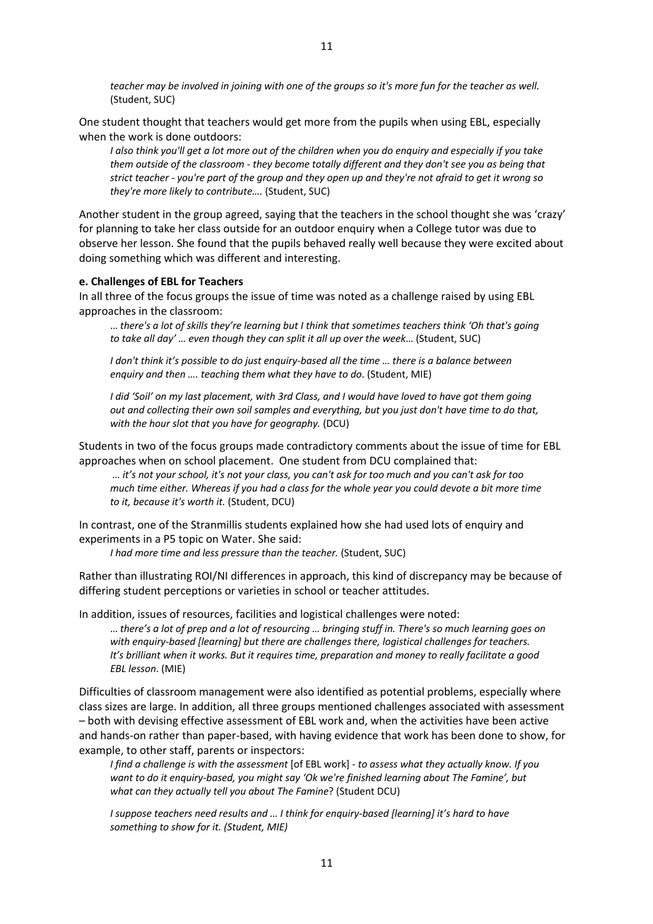*teacher may be involved in joining with one of the groups so it's more fun for the teacher as well.* (Student, SUC)

One student thought that teachers would get more from the pupils when using EBL, especially when the work is done outdoors:

*I also think you'll get a lot more out of the children when you do enquiry and especially if you take them outside of the classroom - they become totally different and they don't see you as being that strict teacher - you're part of the group and they open up and they're not afraid to get it wrong so they're more likely to contribute….* (Student, SUC)

Another student in the group agreed, saying that the teachers in the school thought she was 'crazy' for planning to take her class outside for an outdoor enquiry when a College tutor was due to observe her lesson. She found that the pupils behaved really well because they were excited about doing something which was different and interesting.

#### **e. Challenges of EBL for Teachers**

In all three of the focus groups the issue of time was noted as a challenge raised by using EBL approaches in the classroom:

… *there's a lot of skills they're learning but I think that sometimes teachers think 'Oh that's going to take all day' … even though they can split it all up over the week*… (Student, SUC)

*I don't think it's possible to do just enquiry-based all the time … there is a balance between enquiry and then …. teaching them what they have to do*. (Student, MIE)

*I did 'Soil' on my last placement, with 3rd Class, and I would have loved to have got them going out and collecting their own soil samples and everything, but you just don't have time to do that, with the hour slot that you have for geography.* (DCU)

Students in two of the focus groups made contradictory comments about the issue of time for EBL approaches when on school placement. One student from DCU complained that:

*… it's not your school, it's not your class, you can't ask for too much and you can't ask for too much time either. Whereas if you had a class for the whole year you could devote a bit more time to it, because it's worth it.* (Student, DCU)

In contrast, one of the Stranmillis students explained how she had used lots of enquiry and experiments in a P5 topic on Water. She said:

*I had more time and less pressure than the teacher.* (Student, SUC)

Rather than illustrating ROI/NI differences in approach, this kind of discrepancy may be because of differing student perceptions or varieties in school or teacher attitudes.

In addition, issues of resources, facilities and logistical challenges were noted:

… *there's a lot of prep and a lot of resourcing … bringing stuff in. There's so much learning goes on with enquiry-based [learning] but there are challenges there, logistical challenges for teachers. It's brilliant when it works. But it requires time, preparation and money to really facilitate a good EBL lesson*. (MIE)

Difficulties of classroom management were also identified as potential problems, especially where class sizes are large. In addition, all three groups mentioned challenges associated with assessment – both with devising effective assessment of EBL work and, when the activities have been active and hands-on rather than paper-based, with having evidence that work has been done to show, for example, to other staff, parents or inspectors:

*I find a challenge is with the assessment* [of EBL work] *- to assess what they actually know. If you want to do it enquiry-based, you might say 'Ok we're finished learning about The Famine', but what can they actually tell you about The Famine*? (Student DCU)

*I suppose teachers need results and … I think for enquiry-based [learning] it's hard to have something to show for it. (Student, MIE)*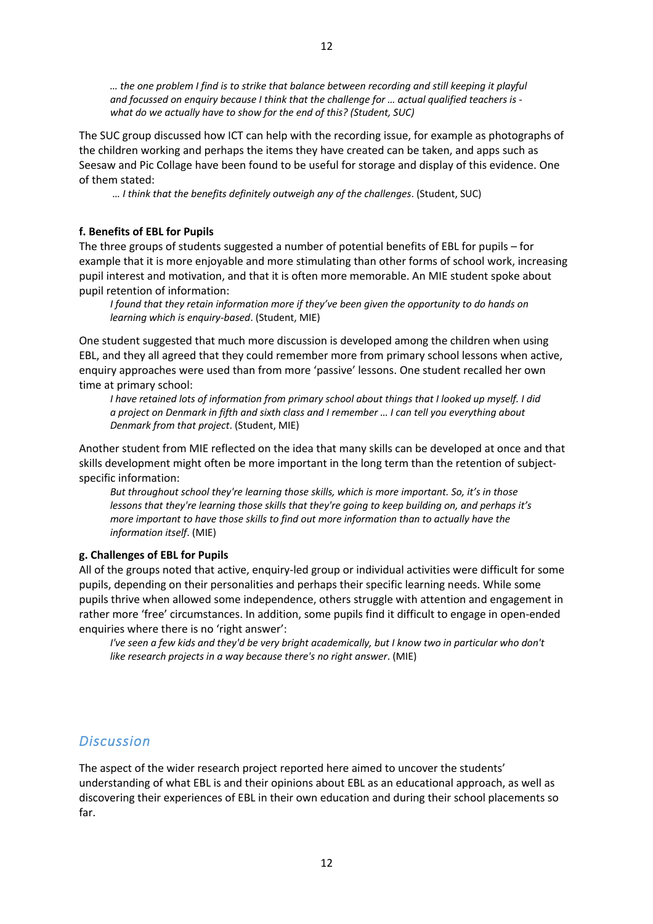*… the one problem I find is to strike that balance between recording and still keeping it playful and focussed on enquiry because I think that the challenge for … actual qualified teachers is what do we actually have to show for the end of this? (Student, SUC)*

The SUC group discussed how ICT can help with the recording issue, for example as photographs of the children working and perhaps the items they have created can be taken, and apps such as Seesaw and Pic Collage have been found to be useful for storage and display of this evidence. One of them stated:

*… I think that the benefits definitely outweigh any of the challenges*. (Student, SUC)

### **f. Benefits of EBL for Pupils**

The three groups of students suggested a number of potential benefits of EBL for pupils – for example that it is more enjoyable and more stimulating than other forms of school work, increasing pupil interest and motivation, and that it is often more memorable. An MIE student spoke about pupil retention of information:

*I found that they retain information more if they've been given the opportunity to do hands on learning which is enquiry-based*. (Student, MIE)

One student suggested that much more discussion is developed among the children when using EBL, and they all agreed that they could remember more from primary school lessons when active, enquiry approaches were used than from more 'passive' lessons. One student recalled her own time at primary school:

*I have retained lots of information from primary school about things that I looked up myself. I did a project on Denmark in fifth and sixth class and I remember … I can tell you everything about Denmark from that project*. (Student, MIE)

Another student from MIE reflected on the idea that many skills can be developed at once and that skills development might often be more important in the long term than the retention of subjectspecific information:

*But throughout school they're learning those skills, which is more important. So, it's in those lessons that they're learning those skills that they're going to keep building on, and perhaps it's more important to have those skills to find out more information than to actually have the information itself*. (MIE)

#### **g. Challenges of EBL for Pupils**

All of the groups noted that active, enquiry-led group or individual activities were difficult for some pupils, depending on their personalities and perhaps their specific learning needs. While some pupils thrive when allowed some independence, others struggle with attention and engagement in rather more 'free' circumstances. In addition, some pupils find it difficult to engage in open-ended enquiries where there is no 'right answer':

*I've seen a few kids and they'd be very bright academically, but I know two in particular who don't like research projects in a way because there's no right answer*. (MIE)

## *Discussion*

The aspect of the wider research project reported here aimed to uncover the students' understanding of what EBL is and their opinions about EBL as an educational approach, as well as discovering their experiences of EBL in their own education and during their school placements so far.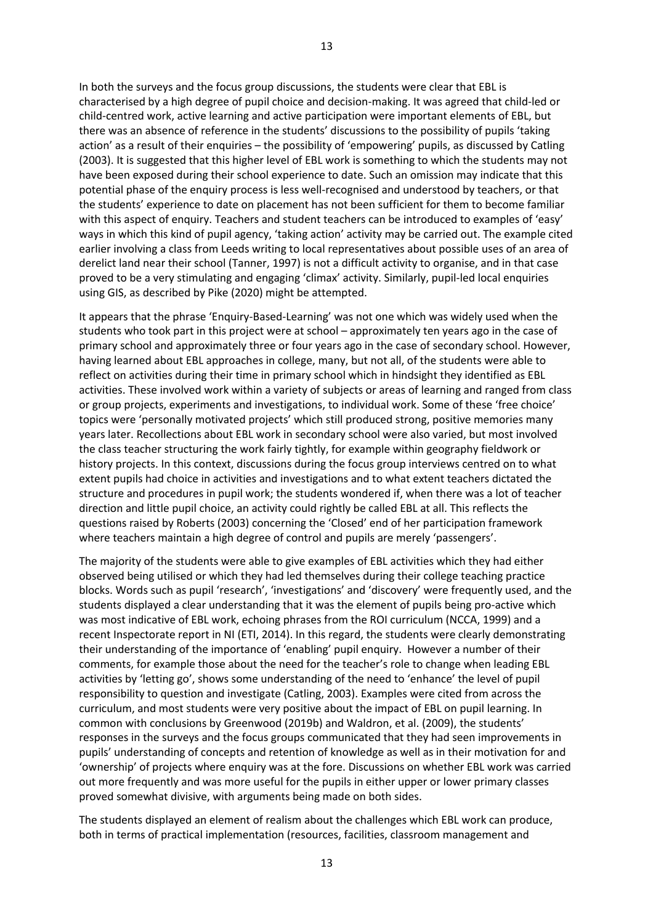In both the surveys and the focus group discussions, the students were clear that EBL is characterised by a high degree of pupil choice and decision-making. It was agreed that child-led or child-centred work, active learning and active participation were important elements of EBL, but there was an absence of reference in the students' discussions to the possibility of pupils 'taking action' as a result of their enquiries – the possibility of 'empowering' pupils, as discussed by Catling (2003). It is suggested that this higher level of EBL work is something to which the students may not have been exposed during their school experience to date. Such an omission may indicate that this potential phase of the enquiry process is less well-recognised and understood by teachers, or that the students' experience to date on placement has not been sufficient for them to become familiar with this aspect of enquiry. Teachers and student teachers can be introduced to examples of 'easy' ways in which this kind of pupil agency, 'taking action' activity may be carried out. The example cited earlier involving a class from Leeds writing to local representatives about possible uses of an area of derelict land near their school (Tanner, 1997) is not a difficult activity to organise, and in that case proved to be a very stimulating and engaging 'climax' activity. Similarly, pupil-led local enquiries using GIS, as described by Pike (2020) might be attempted.

It appears that the phrase 'Enquiry-Based-Learning' was not one which was widely used when the students who took part in this project were at school – approximately ten years ago in the case of primary school and approximately three or four years ago in the case of secondary school. However, having learned about EBL approaches in college, many, but not all, of the students were able to reflect on activities during their time in primary school which in hindsight they identified as EBL activities. These involved work within a variety of subjects or areas of learning and ranged from class or group projects, experiments and investigations, to individual work. Some of these 'free choice' topics were 'personally motivated projects' which still produced strong, positive memories many years later. Recollections about EBL work in secondary school were also varied, but most involved the class teacher structuring the work fairly tightly, for example within geography fieldwork or history projects. In this context, discussions during the focus group interviews centred on to what extent pupils had choice in activities and investigations and to what extent teachers dictated the structure and procedures in pupil work; the students wondered if, when there was a lot of teacher direction and little pupil choice, an activity could rightly be called EBL at all. This reflects the questions raised by Roberts (2003) concerning the 'Closed' end of her participation framework where teachers maintain a high degree of control and pupils are merely 'passengers'.

The majority of the students were able to give examples of EBL activities which they had either observed being utilised or which they had led themselves during their college teaching practice blocks. Words such as pupil 'research', 'investigations' and 'discovery' were frequently used, and the students displayed a clear understanding that it was the element of pupils being pro-active which was most indicative of EBL work, echoing phrases from the ROI curriculum (NCCA, 1999) and a recent Inspectorate report in NI (ETI, 2014). In this regard, the students were clearly demonstrating their understanding of the importance of 'enabling' pupil enquiry. However a number of their comments, for example those about the need for the teacher's role to change when leading EBL activities by 'letting go', shows some understanding of the need to 'enhance' the level of pupil responsibility to question and investigate (Catling, 2003). Examples were cited from across the curriculum, and most students were very positive about the impact of EBL on pupil learning. In common with conclusions by Greenwood (2019b) and Waldron, et al. (2009), the students' responses in the surveys and the focus groups communicated that they had seen improvements in pupils' understanding of concepts and retention of knowledge as well as in their motivation for and 'ownership' of projects where enquiry was at the fore. Discussions on whether EBL work was carried out more frequently and was more useful for the pupils in either upper or lower primary classes proved somewhat divisive, with arguments being made on both sides.

The students displayed an element of realism about the challenges which EBL work can produce, both in terms of practical implementation (resources, facilities, classroom management and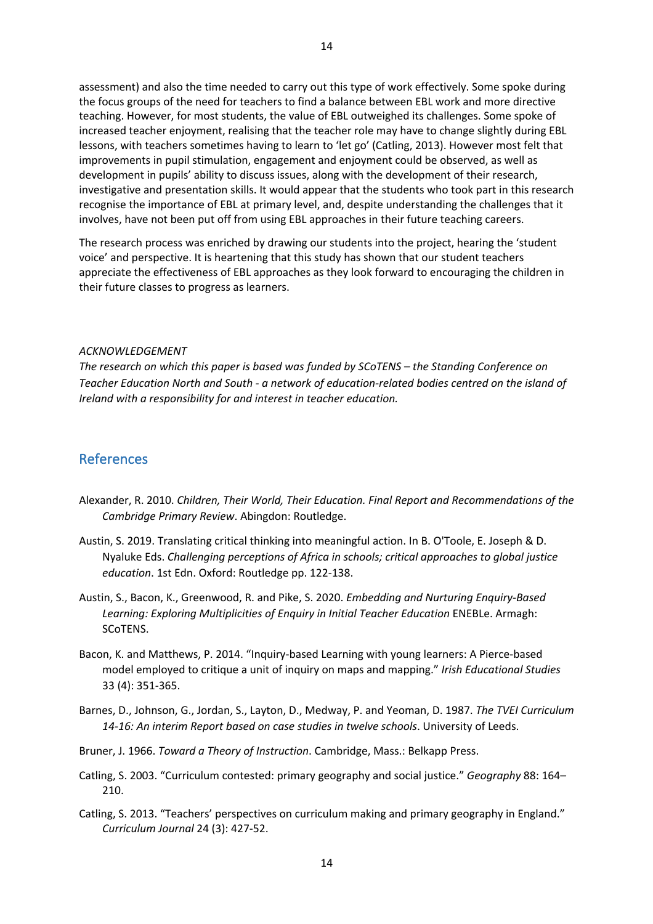assessment) and also the time needed to carry out this type of work effectively. Some spoke during the focus groups of the need for teachers to find a balance between EBL work and more directive teaching. However, for most students, the value of EBL outweighed its challenges. Some spoke of increased teacher enjoyment, realising that the teacher role may have to change slightly during EBL lessons, with teachers sometimes having to learn to 'let go' (Catling, 2013). However most felt that improvements in pupil stimulation, engagement and enjoyment could be observed, as well as development in pupils' ability to discuss issues, along with the development of their research, investigative and presentation skills. It would appear that the students who took part in this research recognise the importance of EBL at primary level, and, despite understanding the challenges that it involves, have not been put off from using EBL approaches in their future teaching careers.

The research process was enriched by drawing our students into the project, hearing the 'student voice' and perspective. It is heartening that this study has shown that our student teachers appreciate the effectiveness of EBL approaches as they look forward to encouraging the children in their future classes to progress as learners.

#### *ACKNOWLEDGEMENT*

*The research on which this paper is based was funded by SCoTENS – the Standing Conference on Teacher Education North and South - a network of education-related bodies centred on the island of Ireland with a responsibility for and interest in teacher education.* 

### References

- Alexander, R. 2010. *Children, Their World, Their Education. Final Report and Recommendations of the Cambridge Primary Review*. Abingdon: Routledge.
- Austin, S. 2019. Translating critical thinking into meaningful action. In B. O'Toole, E. Joseph & D. Nyaluke Eds. *Challenging perceptions of Africa in schools; critical approaches to global justice education*. 1st Edn. Oxford: Routledge pp. 122-138.
- Austin, S., Bacon, K., Greenwood, R. and Pike, S. 2020. *Embedding and Nurturing Enquiry-Based Learning: Exploring Multiplicities of Enquiry in Initial Teacher Education* ENEBLe. Armagh: SCoTENS.
- Bacon, K. and Matthews, P. 2014. "Inquiry-based Learning with young learners: A Pierce-based model employed to critique a unit of inquiry on maps and mapping." *Irish Educational Studies* 33 (4): 351-365.
- Barnes, D., Johnson, G., Jordan, S., Layton, D., Medway, P. and Yeoman, D. 1987. *The TVEI Curriculum 14-16: An interim Report based on case studies in twelve schools*. University of Leeds.
- Bruner, J. 1966. *Toward a Theory of Instruction*. Cambridge, Mass.: Belkapp Press.
- Catling, S. 2003. "Curriculum contested: primary geography and social justice." *Geography* 88: 164– 210.
- Catling, S. 2013. "Teachers' perspectives on curriculum making and primary geography in England." *Curriculum Journal* 24 (3): 427-52.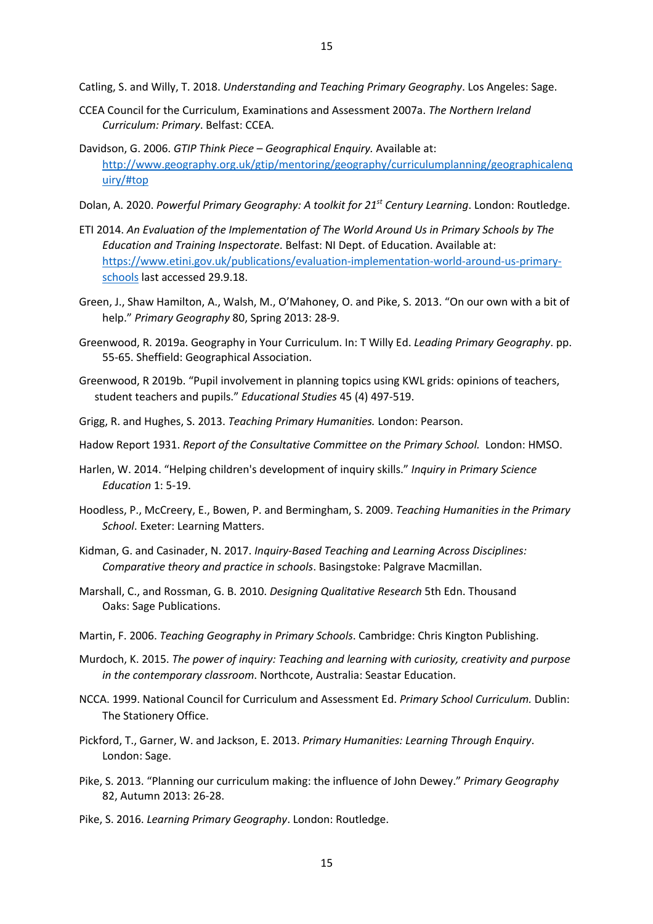- CCEA Council for the Curriculum, Examinations and Assessment 2007a. *The Northern Ireland Curriculum: Primary*. Belfast: CCEA.
- Davidson, G. 2006. *GTIP Think Piece – Geographical Enquiry.* Available at: http://www.geography.org.uk/gtip/mentoring/geography/curriculumplanning/geographicalenq uiry/#top
- Dolan, A. 2020. *Powerful Primary Geography: A toolkit for 21st Century Learning*. London: Routledge.
- ETI 2014. *An Evaluation of the Implementation of The World Around Us in Primary Schools by The Education and Training Inspectorate*. Belfast: NI Dept. of Education. Available at: https://www.etini.gov.uk/publications/evaluation-implementation-world-around-us-primaryschools last accessed 29.9.18.
- Green, J., Shaw Hamilton, A., Walsh, M., O'Mahoney, O. and Pike, S. 2013. "On our own with a bit of help." *Primary Geography* 80, Spring 2013: 28-9.
- Greenwood, R. 2019a. Geography in Your Curriculum. In: T Willy Ed. *Leading Primary Geography*. pp. 55-65. Sheffield: Geographical Association.
- Greenwood, R 2019b. "Pupil involvement in planning topics using KWL grids: opinions of teachers, student teachers and pupils." *Educational Studies* 45 (4) 497-519.
- Grigg, R. and Hughes, S. 2013. *Teaching Primary Humanities.* London: Pearson.
- Hadow Report 1931. *Report of the Consultative Committee on the Primary School.* London: HMSO.
- Harlen, W. 2014. "Helping children's development of inquiry skills." *Inquiry in Primary Science Education* 1: 5-19.
- Hoodless, P., McCreery, E., Bowen, P. and Bermingham, S. 2009. *Teaching Humanities in the Primary School*. Exeter: Learning Matters.
- Kidman, G. and Casinader, N. 2017. *Inquiry-Based Teaching and Learning Across Disciplines: Comparative theory and practice in schools*. Basingstoke: Palgrave Macmillan.
- Marshall, C., and Rossman, G. B. 2010. *Designing Qualitative Research* 5th Edn. Thousand Oaks: Sage Publications.
- Martin, F. 2006. *Teaching Geography in Primary Schools*. Cambridge: Chris Kington Publishing.
- Murdoch, K. 2015. *The power of inquiry: Teaching and learning with curiosity, creativity and purpose in the contemporary classroom*. Northcote, Australia: Seastar Education.
- NCCA. 1999. National Council for Curriculum and Assessment Ed. *Primary School Curriculum.* Dublin: The Stationery Office.
- Pickford, T., Garner, W. and Jackson, E. 2013. *Primary Humanities: Learning Through Enquiry*. London: Sage.
- Pike, S. 2013. "Planning our curriculum making: the influence of John Dewey." *Primary Geography* 82, Autumn 2013: 26-28.
- Pike, S. 2016. *Learning Primary Geography*. London: Routledge.